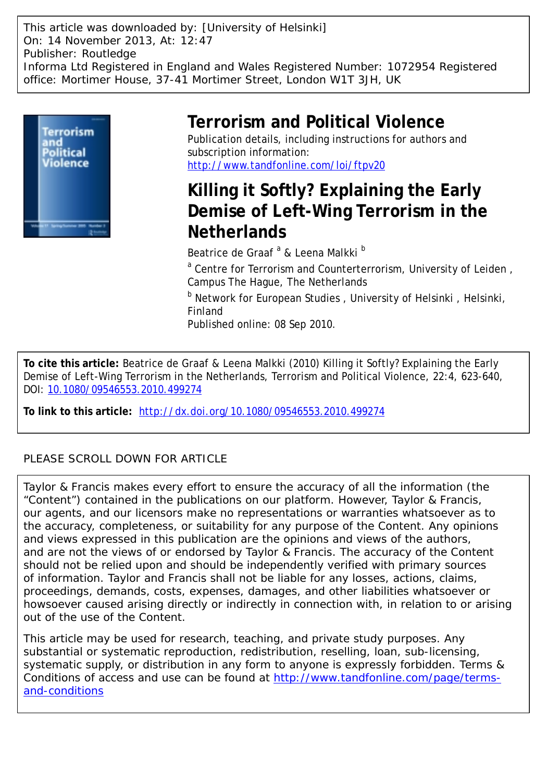This article was downloaded by: [University of Helsinki] On: 14 November 2013, At: 12:47 Publisher: Routledge Informa Ltd Registered in England and Wales Registered Number: 1072954 Registered office: Mortimer House, 37-41 Mortimer Street, London W1T 3JH, UK



# **Terrorism and Political Violence**

Publication details, including instructions for authors and subscription information: <http://www.tandfonline.com/loi/ftpv20>

**Killing it Softly? Explaining the Early Demise of Left-Wing Terrorism in the Netherlands**

Beatrice de Graaf <sup>a</sup> & Leena Malkki <sup>b</sup>

<sup>a</sup> Centre for Terrorism and Counterterrorism, University of Leiden, Campus The Hague, The Netherlands

**b** Network for European Studies, University of Helsinki, Helsinki, Finland

Published online: 08 Sep 2010.

**To cite this article:** Beatrice de Graaf & Leena Malkki (2010) Killing it Softly? Explaining the Early Demise of Left-Wing Terrorism in the Netherlands, Terrorism and Political Violence, 22:4, 623-640, DOI: [10.1080/09546553.2010.499274](http://www.tandfonline.com/action/showCitFormats?doi=10.1080/09546553.2010.499274)

**To link to this article:** <http://dx.doi.org/10.1080/09546553.2010.499274>

### PLEASE SCROLL DOWN FOR ARTICLE

Taylor & Francis makes every effort to ensure the accuracy of all the information (the "Content") contained in the publications on our platform. However, Taylor & Francis, our agents, and our licensors make no representations or warranties whatsoever as to the accuracy, completeness, or suitability for any purpose of the Content. Any opinions and views expressed in this publication are the opinions and views of the authors, and are not the views of or endorsed by Taylor & Francis. The accuracy of the Content should not be relied upon and should be independently verified with primary sources of information. Taylor and Francis shall not be liable for any losses, actions, claims, proceedings, demands, costs, expenses, damages, and other liabilities whatsoever or howsoever caused arising directly or indirectly in connection with, in relation to or arising out of the use of the Content.

This article may be used for research, teaching, and private study purposes. Any substantial or systematic reproduction, redistribution, reselling, loan, sub-licensing, systematic supply, or distribution in any form to anyone is expressly forbidden. Terms & Conditions of access and use can be found at [http://www.tandfonline.com/page/terms](http://www.tandfonline.com/page/terms-and-conditions)[and-conditions](http://www.tandfonline.com/page/terms-and-conditions)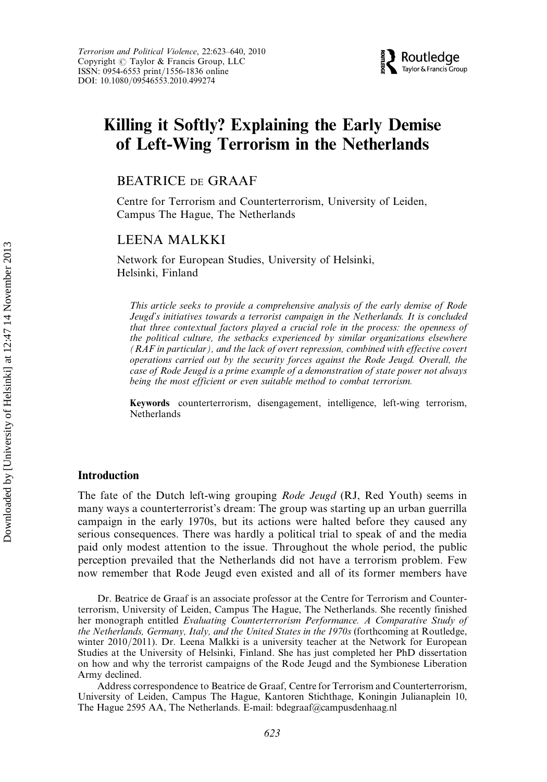

## Killing it Softly? Explaining the Early Demise of Left-Wing Terrorism in the Netherlands

BEATRICE DE GRAAF

Centre for Terrorism and Counterterrorism, University of Leiden, Campus The Hague, The Netherlands

#### LEENA MALKKI

Network for European Studies, University of Helsinki, Helsinki, Finland

This article seeks to provide a comprehensive analysis of the early demise of Rode Jeugd's initiatives towards a terrorist campaign in the Netherlands. It is concluded that three contextual factors played a crucial role in the process: the openness of the political culture, the setbacks experienced by similar organizations elsewhere (RAF in particular), and the lack of overt repression, combined with effective covert operations carried out by the security forces against the Rode Jeugd. Overall, the case of Rode Jeugd is a prime example of a demonstration of state power not always being the most efficient or even suitable method to combat terrorism.

Keywords counterterrorism, disengagement, intelligence, left-wing terrorism, Netherlands

#### Introduction

The fate of the Dutch left-wing grouping *Rode Jeugd* (RJ, Red Youth) seems in many ways a counterterrorist's dream: The group was starting up an urban guerrilla campaign in the early 1970s, but its actions were halted before they caused any serious consequences. There was hardly a political trial to speak of and the media paid only modest attention to the issue. Throughout the whole period, the public perception prevailed that the Netherlands did not have a terrorism problem. Few now remember that Rode Jeugd even existed and all of its former members have

Dr. Beatrice de Graaf is an associate professor at the Centre for Terrorism and Counterterrorism, University of Leiden, Campus The Hague, The Netherlands. She recently finished her monograph entitled Evaluating Counterterrorism Performance. A Comparative Study of the Netherlands, Germany, Italy, and the United States in the 1970s (forthcoming at Routledge, winter 2010/2011). Dr. Leena Malkki is a university teacher at the Network for European Studies at the University of Helsinki, Finland. She has just completed her PhD dissertation on how and why the terrorist campaigns of the Rode Jeugd and the Symbionese Liberation Army declined.

Address correspondence to Beatrice de Graaf, Centre for Terrorism and Counterterrorism, University of Leiden, Campus The Hague, Kantoren Stichthage, Koningin Julianaplein 10, The Hague 2595 AA, The Netherlands. E-mail: bdegraaf@campusdenhaag.nl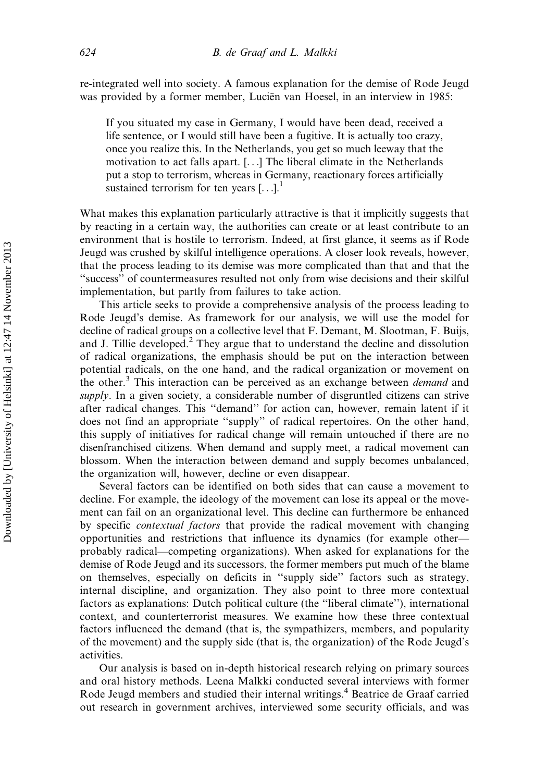re-integrated well into society. A famous explanation for the demise of Rode Jeugd was provided by a former member, Luciën van Hoesel, in an interview in 1985:

If you situated my case in Germany, I would have been dead, received a life sentence, or I would still have been a fugitive. It is actually too crazy, once you realize this. In the Netherlands, you get so much leeway that the motivation to act falls apart. [...] The liberal climate in the Netherlands put a stop to terrorism, whereas in Germany, reactionary forces artificially sustained terrorism for ten years  $[\ldots]$ <sup>1</sup>

What makes this explanation particularly attractive is that it implicitly suggests that by reacting in a certain way, the authorities can create or at least contribute to an environment that is hostile to terrorism. Indeed, at first glance, it seems as if Rode Jeugd was crushed by skilful intelligence operations. A closer look reveals, however, that the process leading to its demise was more complicated than that and that the ''success'' of countermeasures resulted not only from wise decisions and their skilful implementation, but partly from failures to take action.

This article seeks to provide a comprehensive analysis of the process leading to Rode Jeugd's demise. As framework for our analysis, we will use the model for decline of radical groups on a collective level that F. Demant, M. Slootman, F. Buijs, and J. Tillie developed. $<sup>2</sup>$  They argue that to understand the decline and dissolution</sup> of radical organizations, the emphasis should be put on the interaction between potential radicals, on the one hand, and the radical organization or movement on the other.<sup>3</sup> This interaction can be perceived as an exchange between *demand* and supply. In a given society, a considerable number of disgruntled citizens can strive after radical changes. This ''demand'' for action can, however, remain latent if it does not find an appropriate ''supply'' of radical repertoires. On the other hand, this supply of initiatives for radical change will remain untouched if there are no disenfranchised citizens. When demand and supply meet, a radical movement can blossom. When the interaction between demand and supply becomes unbalanced, the organization will, however, decline or even disappear.

Several factors can be identified on both sides that can cause a movement to decline. For example, the ideology of the movement can lose its appeal or the movement can fail on an organizational level. This decline can furthermore be enhanced by specific *contextual factors* that provide the radical movement with changing opportunities and restrictions that influence its dynamics (for example other probably radical—competing organizations). When asked for explanations for the demise of Rode Jeugd and its successors, the former members put much of the blame on themselves, especially on deficits in ''supply side'' factors such as strategy, internal discipline, and organization. They also point to three more contextual factors as explanations: Dutch political culture (the ''liberal climate''), international context, and counterterrorist measures. We examine how these three contextual factors influenced the demand (that is, the sympathizers, members, and popularity of the movement) and the supply side (that is, the organization) of the Rode Jeugd's activities.

Our analysis is based on in-depth historical research relying on primary sources and oral history methods. Leena Malkki conducted several interviews with former Rode Jeugd members and studied their internal writings.<sup>4</sup> Beatrice de Graaf carried out research in government archives, interviewed some security officials, and was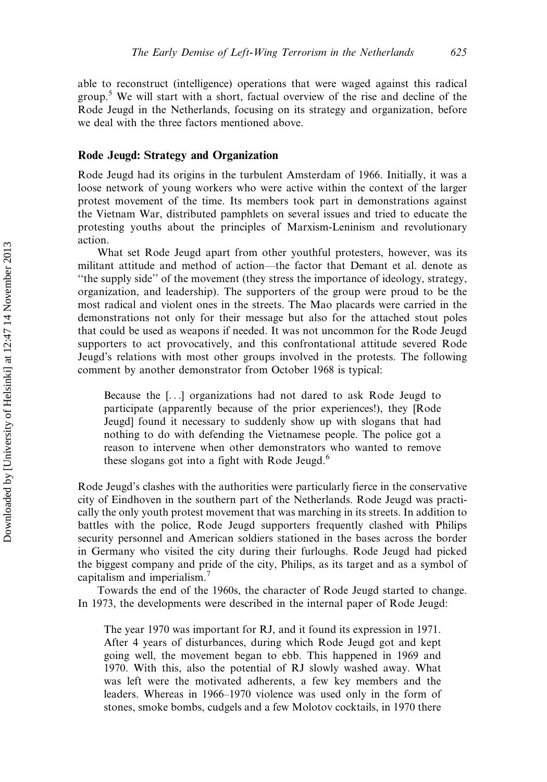able to reconstruct (intelligence) operations that were waged against this radical group.5 We will start with a short, factual overview of the rise and decline of the Rode Jeugd in the Netherlands, focusing on its strategy and organization, before we deal with the three factors mentioned above.

#### Rode Jeugd: Strategy and Organization

Rode Jeugd had its origins in the turbulent Amsterdam of 1966. Initially, it was a loose network of young workers who were active within the context of the larger protest movement of the time. Its members took part in demonstrations against the Vietnam War, distributed pamphlets on several issues and tried to educate the protesting youths about the principles of Marxism-Leninism and revolutionary action.

What set Rode Jeugd apart from other youthful protesters, however, was its militant attitude and method of action—the factor that Demant et al. denote as ''the supply side'' of the movement (they stress the importance of ideology, strategy, organization, and leadership). The supporters of the group were proud to be the most radical and violent ones in the streets. The Mao placards were carried in the demonstrations not only for their message but also for the attached stout poles that could be used as weapons if needed. It was not uncommon for the Rode Jeugd supporters to act provocatively, and this confrontational attitude severed Rode Jeugd's relations with most other groups involved in the protests. The following comment by another demonstrator from October 1968 is typical:

Because the [...] organizations had not dared to ask Rode Jeugd to participate (apparently because of the prior experiences!), they [Rode Jeugd] found it necessary to suddenly show up with slogans that had nothing to do with defending the Vietnamese people. The police got a reason to intervene when other demonstrators who wanted to remove these slogans got into a fight with Rode Jeugd.<sup>6</sup>

Rode Jeugd's clashes with the authorities were particularly fierce in the conservative city of Eindhoven in the southern part of the Netherlands. Rode Jeugd was practically the only youth protest movement that was marching in its streets. In addition to battles with the police, Rode Jeugd supporters frequently clashed with Philips security personnel and American soldiers stationed in the bases across the border in Germany who visited the city during their furloughs. Rode Jeugd had picked the biggest company and pride of the city, Philips, as its target and as a symbol of capitalism and imperialism.<sup>7</sup>

Towards the end of the 1960s, the character of Rode Jeugd started to change. In 1973, the developments were described in the internal paper of Rode Jeugd:

The year 1970 was important for RJ, and it found its expression in 1971. After 4 years of disturbances, during which Rode Jeugd got and kept going well, the movement began to ebb. This happened in 1969 and 1970. With this, also the potential of RJ slowly washed away. What was left were the motivated adherents, a few key members and the leaders. Whereas in 1966–1970 violence was used only in the form of stones, smoke bombs, cudgels and a few Molotov cocktails, in 1970 there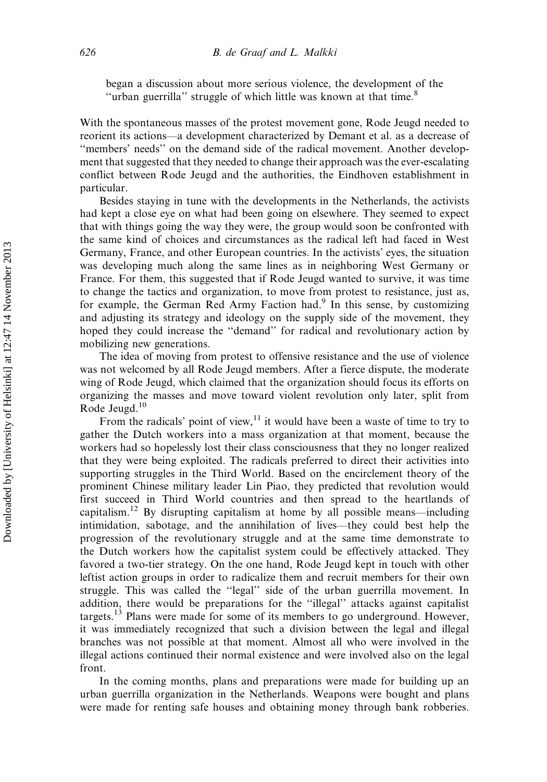began a discussion about more serious violence, the development of the "urban guerrilla" struggle of which little was known at that time.<sup>8</sup>

With the spontaneous masses of the protest movement gone, Rode Jeugd needed to reorient its actions—a development characterized by Demant et al. as a decrease of ''members' needs'' on the demand side of the radical movement. Another development that suggested that they needed to change their approach was the ever-escalating conflict between Rode Jeugd and the authorities, the Eindhoven establishment in particular.

Besides staying in tune with the developments in the Netherlands, the activists had kept a close eye on what had been going on elsewhere. They seemed to expect that with things going the way they were, the group would soon be confronted with the same kind of choices and circumstances as the radical left had faced in West Germany, France, and other European countries. In the activists' eyes, the situation was developing much along the same lines as in neighboring West Germany or France. For them, this suggested that if Rode Jeugd wanted to survive, it was time to change the tactics and organization, to move from protest to resistance, just as, for example, the German Red Army Faction had.<sup>9</sup> In this sense, by customizing and adjusting its strategy and ideology on the supply side of the movement, they hoped they could increase the ''demand'' for radical and revolutionary action by mobilizing new generations.

The idea of moving from protest to offensive resistance and the use of violence was not welcomed by all Rode Jeugd members. After a fierce dispute, the moderate wing of Rode Jeugd, which claimed that the organization should focus its efforts on organizing the masses and move toward violent revolution only later, split from Rode Jeugd. $10$ 

From the radicals' point of view, $\frac{11}{11}$  it would have been a waste of time to try to gather the Dutch workers into a mass organization at that moment, because the workers had so hopelessly lost their class consciousness that they no longer realized that they were being exploited. The radicals preferred to direct their activities into supporting struggles in the Third World. Based on the encirclement theory of the prominent Chinese military leader Lin Piao, they predicted that revolution would first succeed in Third World countries and then spread to the heartlands of capitalism.<sup>12</sup> By disrupting capitalism at home by all possible means—including intimidation, sabotage, and the annihilation of lives—they could best help the progression of the revolutionary struggle and at the same time demonstrate to the Dutch workers how the capitalist system could be effectively attacked. They favored a two-tier strategy. On the one hand, Rode Jeugd kept in touch with other leftist action groups in order to radicalize them and recruit members for their own struggle. This was called the ''legal'' side of the urban guerrilla movement. In addition, there would be preparations for the ''illegal'' attacks against capitalist targets.<sup>13</sup> Plans were made for some of its members to go underground. However, it was immediately recognized that such a division between the legal and illegal branches was not possible at that moment. Almost all who were involved in the illegal actions continued their normal existence and were involved also on the legal front.

In the coming months, plans and preparations were made for building up an urban guerrilla organization in the Netherlands. Weapons were bought and plans were made for renting safe houses and obtaining money through bank robberies.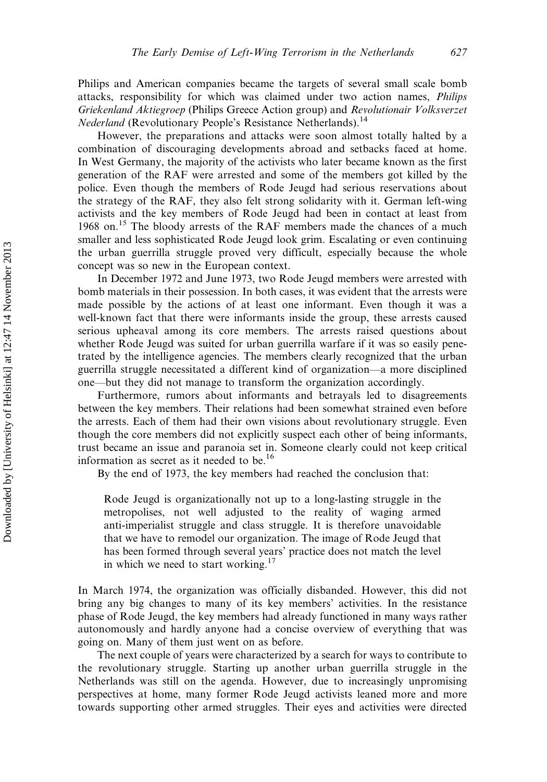Philips and American companies became the targets of several small scale bomb attacks, responsibility for which was claimed under two action names, Philips Griekenland Aktiegroep (Philips Greece Action group) and Revolutionair Volksverzet Nederland (Revolutionary People's Resistance Netherlands).<sup>14</sup>

However, the preparations and attacks were soon almost totally halted by a combination of discouraging developments abroad and setbacks faced at home. In West Germany, the majority of the activists who later became known as the first generation of the RAF were arrested and some of the members got killed by the police. Even though the members of Rode Jeugd had serious reservations about the strategy of the RAF, they also felt strong solidarity with it. German left-wing activists and the key members of Rode Jeugd had been in contact at least from 1968 on.<sup>15</sup> The bloody arrests of the RAF members made the chances of a much smaller and less sophisticated Rode Jeugd look grim. Escalating or even continuing the urban guerrilla struggle proved very difficult, especially because the whole concept was so new in the European context.

In December 1972 and June 1973, two Rode Jeugd members were arrested with bomb materials in their possession. In both cases, it was evident that the arrests were made possible by the actions of at least one informant. Even though it was a well-known fact that there were informants inside the group, these arrests caused serious upheaval among its core members. The arrests raised questions about whether Rode Jeugd was suited for urban guerrilla warfare if it was so easily penetrated by the intelligence agencies. The members clearly recognized that the urban guerrilla struggle necessitated a different kind of organization—a more disciplined one—but they did not manage to transform the organization accordingly.

Furthermore, rumors about informants and betrayals led to disagreements between the key members. Their relations had been somewhat strained even before the arrests. Each of them had their own visions about revolutionary struggle. Even though the core members did not explicitly suspect each other of being informants, trust became an issue and paranoia set in. Someone clearly could not keep critical information as secret as it needed to be.<sup>16</sup>

By the end of 1973, the key members had reached the conclusion that:

Rode Jeugd is organizationally not up to a long-lasting struggle in the metropolises, not well adjusted to the reality of waging armed anti-imperialist struggle and class struggle. It is therefore unavoidable that we have to remodel our organization. The image of Rode Jeugd that has been formed through several years' practice does not match the level in which we need to start working.<sup>17</sup>

In March 1974, the organization was officially disbanded. However, this did not bring any big changes to many of its key members' activities. In the resistance phase of Rode Jeugd, the key members had already functioned in many ways rather autonomously and hardly anyone had a concise overview of everything that was going on. Many of them just went on as before.

The next couple of years were characterized by a search for ways to contribute to the revolutionary struggle. Starting up another urban guerrilla struggle in the Netherlands was still on the agenda. However, due to increasingly unpromising perspectives at home, many former Rode Jeugd activists leaned more and more towards supporting other armed struggles. Their eyes and activities were directed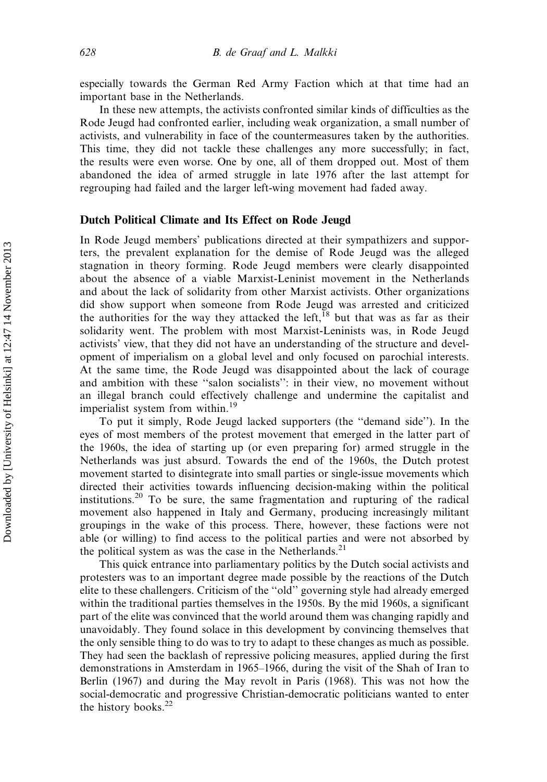especially towards the German Red Army Faction which at that time had an important base in the Netherlands.

In these new attempts, the activists confronted similar kinds of difficulties as the Rode Jeugd had confronted earlier, including weak organization, a small number of activists, and vulnerability in face of the countermeasures taken by the authorities. This time, they did not tackle these challenges any more successfully; in fact, the results were even worse. One by one, all of them dropped out. Most of them abandoned the idea of armed struggle in late 1976 after the last attempt for regrouping had failed and the larger left-wing movement had faded away.

#### Dutch Political Climate and Its Effect on Rode Jeugd

In Rode Jeugd members' publications directed at their sympathizers and supporters, the prevalent explanation for the demise of Rode Jeugd was the alleged stagnation in theory forming. Rode Jeugd members were clearly disappointed about the absence of a viable Marxist-Leninist movement in the Netherlands and about the lack of solidarity from other Marxist activists. Other organizations did show support when someone from Rode Jeugd was arrested and criticized the authorities for the way they attacked the left,<sup>18</sup> but that was as far as their solidarity went. The problem with most Marxist-Leninists was, in Rode Jeugd activists' view, that they did not have an understanding of the structure and development of imperialism on a global level and only focused on parochial interests. At the same time, the Rode Jeugd was disappointed about the lack of courage and ambition with these ''salon socialists'': in their view, no movement without an illegal branch could effectively challenge and undermine the capitalist and imperialist system from within.<sup>19</sup>

To put it simply, Rode Jeugd lacked supporters (the ''demand side''). In the eyes of most members of the protest movement that emerged in the latter part of the 1960s, the idea of starting up (or even preparing for) armed struggle in the Netherlands was just absurd. Towards the end of the 1960s, the Dutch protest movement started to disintegrate into small parties or single-issue movements which directed their activities towards influencing decision-making within the political institutions.<sup>20</sup> To be sure, the same fragmentation and rupturing of the radical movement also happened in Italy and Germany, producing increasingly militant groupings in the wake of this process. There, however, these factions were not able (or willing) to find access to the political parties and were not absorbed by the political system as was the case in the Netherlands.<sup>21</sup>

This quick entrance into parliamentary politics by the Dutch social activists and protesters was to an important degree made possible by the reactions of the Dutch elite to these challengers. Criticism of the ''old'' governing style had already emerged within the traditional parties themselves in the 1950s. By the mid 1960s, a significant part of the elite was convinced that the world around them was changing rapidly and unavoidably. They found solace in this development by convincing themselves that the only sensible thing to do was to try to adapt to these changes as much as possible. They had seen the backlash of repressive policing measures, applied during the first demonstrations in Amsterdam in 1965–1966, during the visit of the Shah of Iran to Berlin (1967) and during the May revolt in Paris (1968). This was not how the social-democratic and progressive Christian-democratic politicians wanted to enter the history books. $^{22}$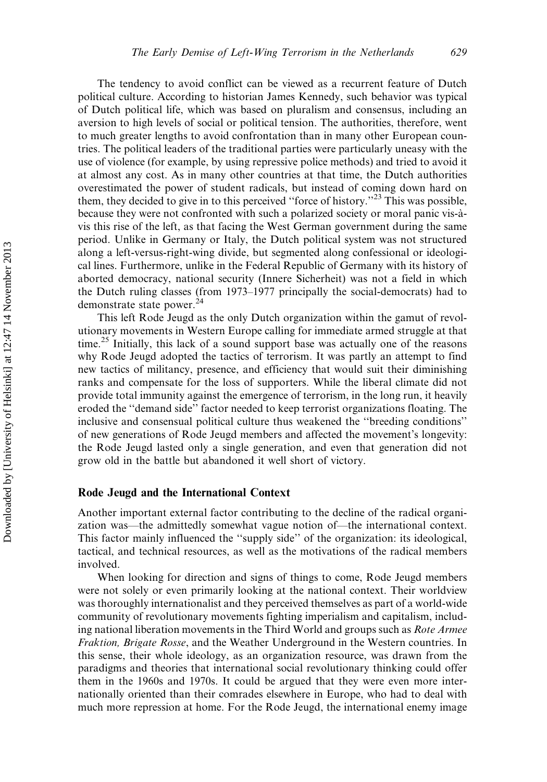The tendency to avoid conflict can be viewed as a recurrent feature of Dutch political culture. According to historian James Kennedy, such behavior was typical of Dutch political life, which was based on pluralism and consensus, including an aversion to high levels of social or political tension. The authorities, therefore, went to much greater lengths to avoid confrontation than in many other European countries. The political leaders of the traditional parties were particularly uneasy with the use of violence (for example, by using repressive police methods) and tried to avoid it at almost any cost. As in many other countries at that time, the Dutch authorities overestimated the power of student radicals, but instead of coming down hard on them, they decided to give in to this perceived "force of history."<sup>23</sup> This was possible, because they were not confronted with such a polarized society or moral panic vis-a` vis this rise of the left, as that facing the West German government during the same period. Unlike in Germany or Italy, the Dutch political system was not structured along a left-versus-right-wing divide, but segmented along confessional or ideological lines. Furthermore, unlike in the Federal Republic of Germany with its history of aborted democracy, national security (Innere Sicherheit) was not a field in which the Dutch ruling classes (from 1973–1977 principally the social-democrats) had to demonstrate state power.<sup>24</sup>

This left Rode Jeugd as the only Dutch organization within the gamut of revolutionary movements in Western Europe calling for immediate armed struggle at that time.<sup>25</sup> Initially, this lack of a sound support base was actually one of the reasons why Rode Jeugd adopted the tactics of terrorism. It was partly an attempt to find new tactics of militancy, presence, and efficiency that would suit their diminishing ranks and compensate for the loss of supporters. While the liberal climate did not provide total immunity against the emergence of terrorism, in the long run, it heavily eroded the ''demand side'' factor needed to keep terrorist organizations floating. The inclusive and consensual political culture thus weakened the ''breeding conditions'' of new generations of Rode Jeugd members and affected the movement's longevity: the Rode Jeugd lasted only a single generation, and even that generation did not grow old in the battle but abandoned it well short of victory.

#### Rode Jeugd and the International Context

Another important external factor contributing to the decline of the radical organization was—the admittedly somewhat vague notion of—the international context. This factor mainly influenced the ''supply side'' of the organization: its ideological, tactical, and technical resources, as well as the motivations of the radical members involved.

When looking for direction and signs of things to come, Rode Jeugd members were not solely or even primarily looking at the national context. Their worldview was thoroughly internationalist and they perceived themselves as part of a world-wide community of revolutionary movements fighting imperialism and capitalism, including national liberation movements in the Third World and groups such as *Rote Armee* Fraktion, Brigate Rosse, and the Weather Underground in the Western countries. In this sense, their whole ideology, as an organization resource, was drawn from the paradigms and theories that international social revolutionary thinking could offer them in the 1960s and 1970s. It could be argued that they were even more internationally oriented than their comrades elsewhere in Europe, who had to deal with much more repression at home. For the Rode Jeugd, the international enemy image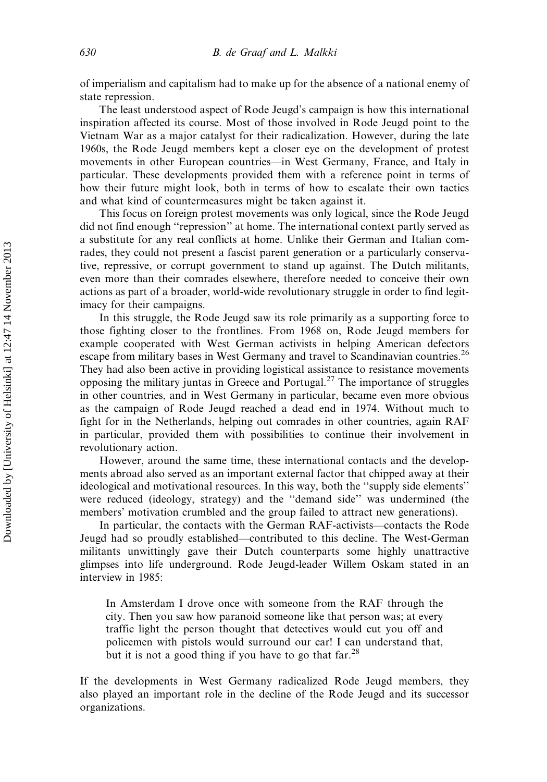of imperialism and capitalism had to make up for the absence of a national enemy of state repression.

The least understood aspect of Rode Jeugd's campaign is how this international inspiration affected its course. Most of those involved in Rode Jeugd point to the Vietnam War as a major catalyst for their radicalization. However, during the late 1960s, the Rode Jeugd members kept a closer eye on the development of protest movements in other European countries—in West Germany, France, and Italy in particular. These developments provided them with a reference point in terms of how their future might look, both in terms of how to escalate their own tactics and what kind of countermeasures might be taken against it.

This focus on foreign protest movements was only logical, since the Rode Jeugd did not find enough ''repression'' at home. The international context partly served as a substitute for any real conflicts at home. Unlike their German and Italian comrades, they could not present a fascist parent generation or a particularly conservative, repressive, or corrupt government to stand up against. The Dutch militants, even more than their comrades elsewhere, therefore needed to conceive their own actions as part of a broader, world-wide revolutionary struggle in order to find legitimacy for their campaigns.

In this struggle, the Rode Jeugd saw its role primarily as a supporting force to those fighting closer to the frontlines. From 1968 on, Rode Jeugd members for example cooperated with West German activists in helping American defectors escape from military bases in West Germany and travel to Scandinavian countries.<sup>26</sup> They had also been active in providing logistical assistance to resistance movements opposing the military juntas in Greece and Portugal.<sup>27</sup> The importance of struggles in other countries, and in West Germany in particular, became even more obvious as the campaign of Rode Jeugd reached a dead end in 1974. Without much to fight for in the Netherlands, helping out comrades in other countries, again RAF in particular, provided them with possibilities to continue their involvement in revolutionary action.

However, around the same time, these international contacts and the developments abroad also served as an important external factor that chipped away at their ideological and motivational resources. In this way, both the ''supply side elements'' were reduced (ideology, strategy) and the ''demand side'' was undermined (the members' motivation crumbled and the group failed to attract new generations).

In particular, the contacts with the German RAF-activists—contacts the Rode Jeugd had so proudly established—contributed to this decline. The West-German militants unwittingly gave their Dutch counterparts some highly unattractive glimpses into life underground. Rode Jeugd-leader Willem Oskam stated in an interview in 1985:

In Amsterdam I drove once with someone from the RAF through the city. Then you saw how paranoid someone like that person was; at every traffic light the person thought that detectives would cut you off and policemen with pistols would surround our car! I can understand that, but it is not a good thing if you have to go that far.<sup>28</sup>

If the developments in West Germany radicalized Rode Jeugd members, they also played an important role in the decline of the Rode Jeugd and its successor organizations.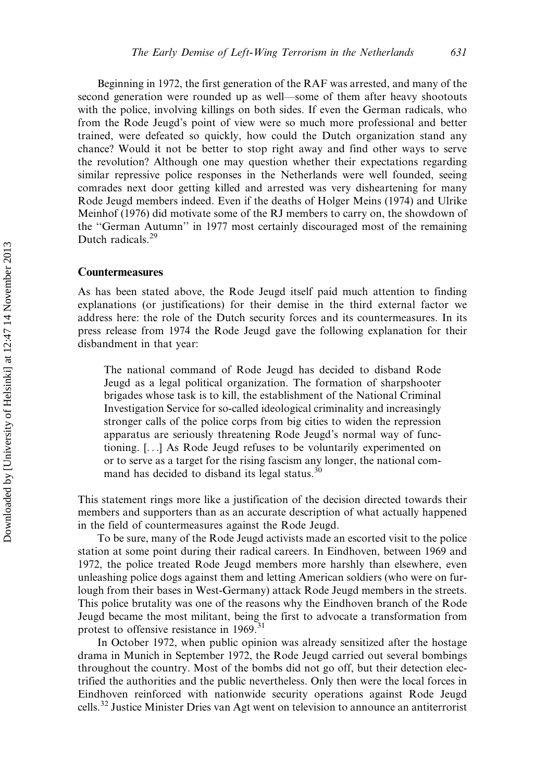Beginning in 1972, the first generation of the RAF was arrested, and many of the second generation were rounded up as well—some of them after heavy shootouts with the police, involving killings on both sides. If even the German radicals, who from the Rode Jeugd's point of view were so much more professional and better trained, were defeated so quickly, how could the Dutch organization stand any chance? Would it not be better to stop right away and find other ways to serve the revolution? Although one may question whether their expectations regarding similar repressive police responses in the Netherlands were well founded, seeing comrades next door getting killed and arrested was very disheartening for many Rode Jeugd members indeed. Even if the deaths of Holger Meins (1974) and Ulrike Meinhof (1976) did motivate some of the RJ members to carry on, the showdown of the ''German Autumn'' in 1977 most certainly discouraged most of the remaining Dutch radicals.<sup>29</sup>

#### Countermeasures

As has been stated above, the Rode Jeugd itself paid much attention to finding explanations (or justifications) for their demise in the third external factor we address here: the role of the Dutch security forces and its countermeasures. In its press release from 1974 the Rode Jeugd gave the following explanation for their disbandment in that year:

The national command of Rode Jeugd has decided to disband Rode Jeugd as a legal political organization. The formation of sharpshooter brigades whose task is to kill, the establishment of the National Criminal Investigation Service for so-called ideological criminality and increasingly stronger calls of the police corps from big cities to widen the repression apparatus are seriously threatening Rode Jeugd's normal way of functioning. [...] As Rode Jeugd refuses to be voluntarily experimented on or to serve as a target for the rising fascism any longer, the national command has decided to disband its legal status.<sup>30</sup>

This statement rings more like a justification of the decision directed towards their members and supporters than as an accurate description of what actually happened in the field of countermeasures against the Rode Jeugd.

To be sure, many of the Rode Jeugd activists made an escorted visit to the police station at some point during their radical careers. In Eindhoven, between 1969 and 1972, the police treated Rode Jeugd members more harshly than elsewhere, even unleashing police dogs against them and letting American soldiers (who were on furlough from their bases in West-Germany) attack Rode Jeugd members in the streets. This police brutality was one of the reasons why the Eindhoven branch of the Rode Jeugd became the most militant, being the first to advocate a transformation from protest to offensive resistance in 1969.<sup>31</sup>

In October 1972, when public opinion was already sensitized after the hostage drama in Munich in September 1972, the Rode Jeugd carried out several bombings throughout the country. Most of the bombs did not go off, but their detection electrified the authorities and the public nevertheless. Only then were the local forces in Eindhoven reinforced with nationwide security operations against Rode Jeugd cells.<sup>32</sup> Justice Minister Dries van Agt went on television to announce an antiterrorist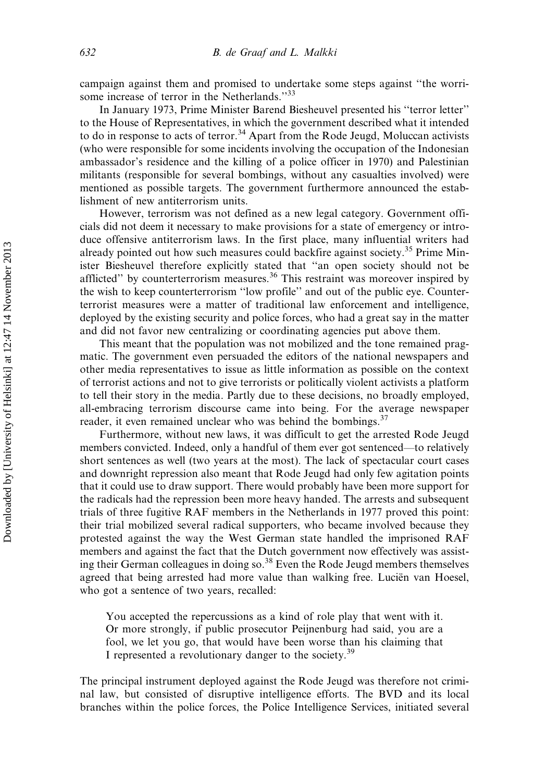campaign against them and promised to undertake some steps against ''the worrisome increase of terror in the Netherlands."<sup>33</sup>

In January 1973, Prime Minister Barend Biesheuvel presented his ''terror letter'' to the House of Representatives, in which the government described what it intended to do in response to acts of terror.<sup>34</sup> Apart from the Rode Jeugd, Moluccan activists (who were responsible for some incidents involving the occupation of the Indonesian ambassador's residence and the killing of a police officer in 1970) and Palestinian militants (responsible for several bombings, without any casualties involved) were mentioned as possible targets. The government furthermore announced the establishment of new antiterrorism units.

However, terrorism was not defined as a new legal category. Government officials did not deem it necessary to make provisions for a state of emergency or introduce offensive antiterrorism laws. In the first place, many influential writers had already pointed out how such measures could backfire against society.<sup>35</sup> Prime Minister Biesheuvel therefore explicitly stated that ''an open society should not be afflicted" by counterterrorism measures.<sup>36</sup> This restraint was moreover inspired by the wish to keep counterterrorism ''low profile'' and out of the public eye. Counterterrorist measures were a matter of traditional law enforcement and intelligence, deployed by the existing security and police forces, who had a great say in the matter and did not favor new centralizing or coordinating agencies put above them.

This meant that the population was not mobilized and the tone remained pragmatic. The government even persuaded the editors of the national newspapers and other media representatives to issue as little information as possible on the context of terrorist actions and not to give terrorists or politically violent activists a platform to tell their story in the media. Partly due to these decisions, no broadly employed, all-embracing terrorism discourse came into being. For the average newspaper reader, it even remained unclear who was behind the bombings.<sup>37</sup>

Furthermore, without new laws, it was difficult to get the arrested Rode Jeugd members convicted. Indeed, only a handful of them ever got sentenced—to relatively short sentences as well (two years at the most). The lack of spectacular court cases and downright repression also meant that Rode Jeugd had only few agitation points that it could use to draw support. There would probably have been more support for the radicals had the repression been more heavy handed. The arrests and subsequent trials of three fugitive RAF members in the Netherlands in 1977 proved this point: their trial mobilized several radical supporters, who became involved because they protested against the way the West German state handled the imprisoned RAF members and against the fact that the Dutch government now effectively was assisting their German colleagues in doing so.<sup>38</sup> Even the Rode Jeugd members themselves agreed that being arrested had more value than walking free. Luciën van Hoesel, who got a sentence of two years, recalled:

You accepted the repercussions as a kind of role play that went with it. Or more strongly, if public prosecutor Peijnenburg had said, you are a fool, we let you go, that would have been worse than his claiming that I represented a revolutionary danger to the society.<sup>39</sup>

The principal instrument deployed against the Rode Jeugd was therefore not criminal law, but consisted of disruptive intelligence efforts. The BVD and its local branches within the police forces, the Police Intelligence Services, initiated several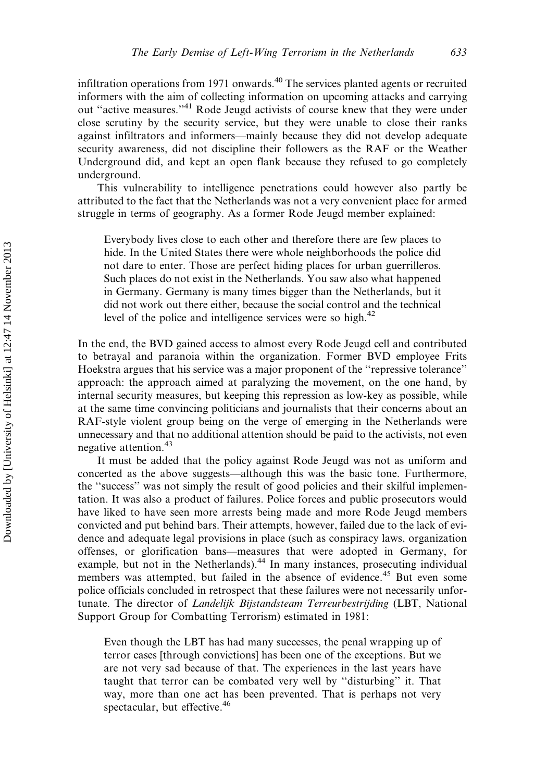infiltration operations from 1971 onwards.<sup>40</sup> The services planted agents or recruited informers with the aim of collecting information on upcoming attacks and carrying out "active measures."<sup>41</sup> Rode Jeugd activists of course knew that they were under close scrutiny by the security service, but they were unable to close their ranks against infiltrators and informers—mainly because they did not develop adequate security awareness, did not discipline their followers as the RAF or the Weather Underground did, and kept an open flank because they refused to go completely underground.

This vulnerability to intelligence penetrations could however also partly be attributed to the fact that the Netherlands was not a very convenient place for armed struggle in terms of geography. As a former Rode Jeugd member explained:

Everybody lives close to each other and therefore there are few places to hide. In the United States there were whole neighborhoods the police did not dare to enter. Those are perfect hiding places for urban guerrilleros. Such places do not exist in the Netherlands. You saw also what happened in Germany. Germany is many times bigger than the Netherlands, but it did not work out there either, because the social control and the technical level of the police and intelligence services were so high.<sup>42</sup>

In the end, the BVD gained access to almost every Rode Jeugd cell and contributed to betrayal and paranoia within the organization. Former BVD employee Frits Hoekstra argues that his service was a major proponent of the ''repressive tolerance'' approach: the approach aimed at paralyzing the movement, on the one hand, by internal security measures, but keeping this repression as low-key as possible, while at the same time convincing politicians and journalists that their concerns about an RAF-style violent group being on the verge of emerging in the Netherlands were unnecessary and that no additional attention should be paid to the activists, not even negative attention.<sup>43</sup>

It must be added that the policy against Rode Jeugd was not as uniform and concerted as the above suggests—although this was the basic tone. Furthermore, the ''success'' was not simply the result of good policies and their skilful implementation. It was also a product of failures. Police forces and public prosecutors would have liked to have seen more arrests being made and more Rode Jeugd members convicted and put behind bars. Their attempts, however, failed due to the lack of evidence and adequate legal provisions in place (such as conspiracy laws, organization offenses, or glorification bans—measures that were adopted in Germany, for example, but not in the Netherlands).<sup>44</sup> In many instances, prosecuting individual members was attempted, but failed in the absence of evidence.<sup>45</sup> But even some police officials concluded in retrospect that these failures were not necessarily unfortunate. The director of Landelijk Bijstandsteam Terreurbestrijding (LBT, National Support Group for Combatting Terrorism) estimated in 1981:

Even though the LBT has had many successes, the penal wrapping up of terror cases [through convictions] has been one of the exceptions. But we are not very sad because of that. The experiences in the last years have taught that terror can be combated very well by ''disturbing'' it. That way, more than one act has been prevented. That is perhaps not very spectacular, but effective.<sup>46</sup>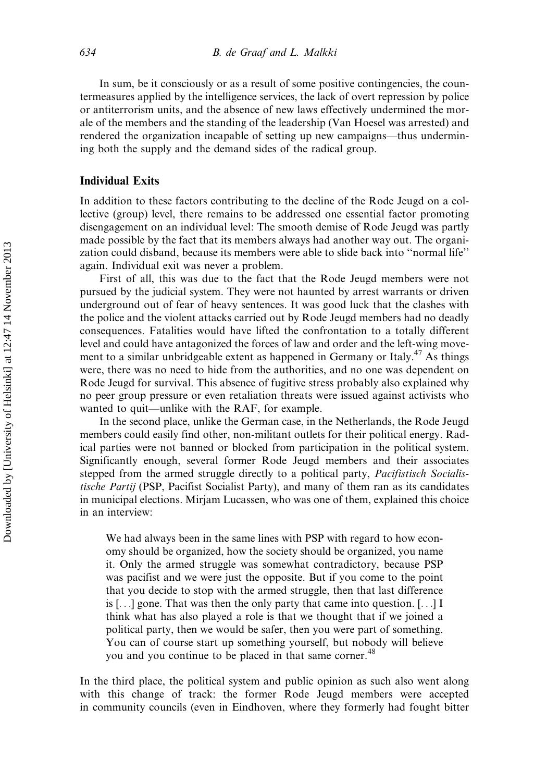In sum, be it consciously or as a result of some positive contingencies, the countermeasures applied by the intelligence services, the lack of overt repression by police or antiterrorism units, and the absence of new laws effectively undermined the morale of the members and the standing of the leadership (Van Hoesel was arrested) and rendered the organization incapable of setting up new campaigns—thus undermining both the supply and the demand sides of the radical group.

#### Individual Exits

In addition to these factors contributing to the decline of the Rode Jeugd on a collective (group) level, there remains to be addressed one essential factor promoting disengagement on an individual level: The smooth demise of Rode Jeugd was partly made possible by the fact that its members always had another way out. The organization could disband, because its members were able to slide back into ''normal life'' again. Individual exit was never a problem.

First of all, this was due to the fact that the Rode Jeugd members were not pursued by the judicial system. They were not haunted by arrest warrants or driven underground out of fear of heavy sentences. It was good luck that the clashes with the police and the violent attacks carried out by Rode Jeugd members had no deadly consequences. Fatalities would have lifted the confrontation to a totally different level and could have antagonized the forces of law and order and the left-wing movement to a similar unbridgeable extent as happened in Germany or Italy.<sup>47</sup> As things were, there was no need to hide from the authorities, and no one was dependent on Rode Jeugd for survival. This absence of fugitive stress probably also explained why no peer group pressure or even retaliation threats were issued against activists who wanted to quit—unlike with the RAF, for example.

In the second place, unlike the German case, in the Netherlands, the Rode Jeugd members could easily find other, non-militant outlets for their political energy. Radical parties were not banned or blocked from participation in the political system. Significantly enough, several former Rode Jeugd members and their associates stepped from the armed struggle directly to a political party, Pacifistisch Socialistische Partij (PSP, Pacifist Socialist Party), and many of them ran as its candidates in municipal elections. Mirjam Lucassen, who was one of them, explained this choice in an interview:

We had always been in the same lines with PSP with regard to how economy should be organized, how the society should be organized, you name it. Only the armed struggle was somewhat contradictory, because PSP was pacifist and we were just the opposite. But if you come to the point that you decide to stop with the armed struggle, then that last difference is [...] gone. That was then the only party that came into question. [...] I think what has also played a role is that we thought that if we joined a political party, then we would be safer, then you were part of something. You can of course start up something yourself, but nobody will believe you and you continue to be placed in that same corner.<sup>48</sup>

In the third place, the political system and public opinion as such also went along with this change of track: the former Rode Jeugd members were accepted in community councils (even in Eindhoven, where they formerly had fought bitter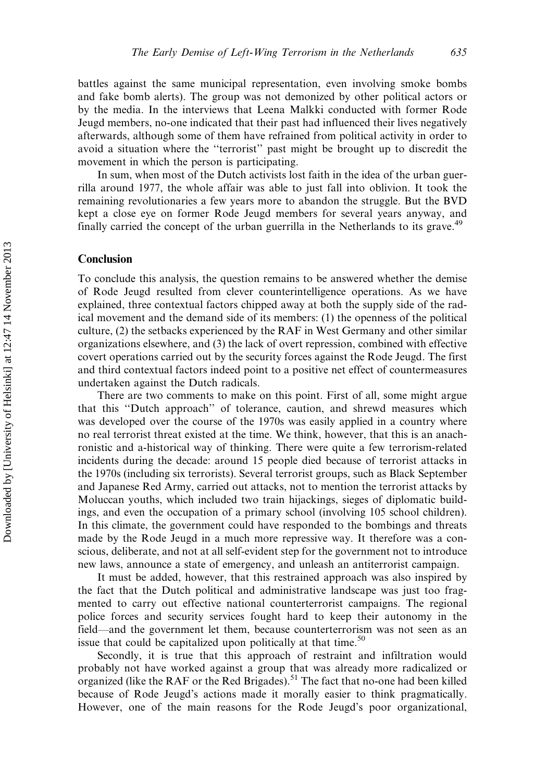battles against the same municipal representation, even involving smoke bombs and fake bomb alerts). The group was not demonized by other political actors or by the media. In the interviews that Leena Malkki conducted with former Rode Jeugd members, no-one indicated that their past had influenced their lives negatively afterwards, although some of them have refrained from political activity in order to avoid a situation where the ''terrorist'' past might be brought up to discredit the movement in which the person is participating.

In sum, when most of the Dutch activists lost faith in the idea of the urban guerrilla around 1977, the whole affair was able to just fall into oblivion. It took the remaining revolutionaries a few years more to abandon the struggle. But the BVD kept a close eye on former Rode Jeugd members for several years anyway, and finally carried the concept of the urban guerrilla in the Netherlands to its grave.<sup>49</sup>

#### Conclusion

To conclude this analysis, the question remains to be answered whether the demise of Rode Jeugd resulted from clever counterintelligence operations. As we have explained, three contextual factors chipped away at both the supply side of the radical movement and the demand side of its members: (1) the openness of the political culture, (2) the setbacks experienced by the RAF in West Germany and other similar organizations elsewhere, and (3) the lack of overt repression, combined with effective covert operations carried out by the security forces against the Rode Jeugd. The first and third contextual factors indeed point to a positive net effect of countermeasures undertaken against the Dutch radicals.

There are two comments to make on this point. First of all, some might argue that this ''Dutch approach'' of tolerance, caution, and shrewd measures which was developed over the course of the 1970s was easily applied in a country where no real terrorist threat existed at the time. We think, however, that this is an anachronistic and a-historical way of thinking. There were quite a few terrorism-related incidents during the decade: around 15 people died because of terrorist attacks in the 1970s (including six terrorists). Several terrorist groups, such as Black September and Japanese Red Army, carried out attacks, not to mention the terrorist attacks by Moluccan youths, which included two train hijackings, sieges of diplomatic buildings, and even the occupation of a primary school (involving 105 school children). In this climate, the government could have responded to the bombings and threats made by the Rode Jeugd in a much more repressive way. It therefore was a conscious, deliberate, and not at all self-evident step for the government not to introduce new laws, announce a state of emergency, and unleash an antiterrorist campaign.

It must be added, however, that this restrained approach was also inspired by the fact that the Dutch political and administrative landscape was just too fragmented to carry out effective national counterterrorist campaigns. The regional police forces and security services fought hard to keep their autonomy in the field—and the government let them, because counterterrorism was not seen as an issue that could be capitalized upon politically at that time.<sup>50</sup>

Secondly, it is true that this approach of restraint and infiltration would probably not have worked against a group that was already more radicalized or organized (like the RAF or the Red Brigades).<sup>51</sup> The fact that no-one had been killed because of Rode Jeugd's actions made it morally easier to think pragmatically. However, one of the main reasons for the Rode Jeugd's poor organizational,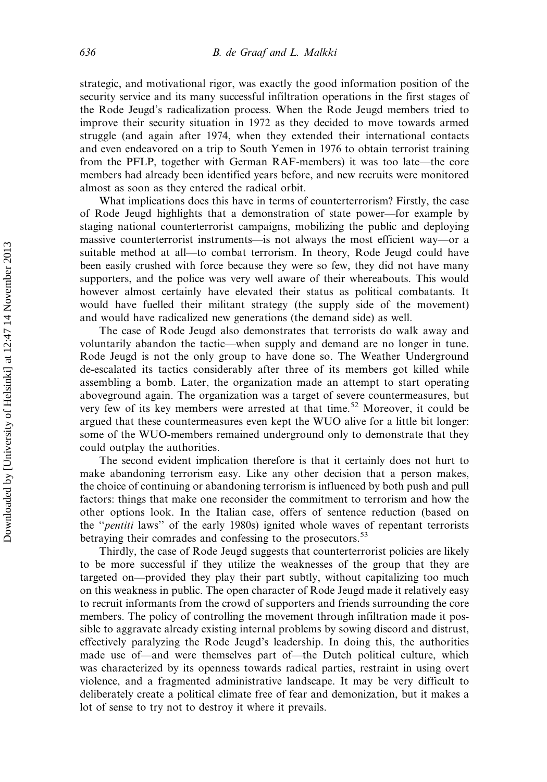strategic, and motivational rigor, was exactly the good information position of the security service and its many successful infiltration operations in the first stages of the Rode Jeugd's radicalization process. When the Rode Jeugd members tried to improve their security situation in 1972 as they decided to move towards armed struggle (and again after 1974, when they extended their international contacts and even endeavored on a trip to South Yemen in 1976 to obtain terrorist training from the PFLP, together with German RAF-members) it was too late—the core members had already been identified years before, and new recruits were monitored almost as soon as they entered the radical orbit.

What implications does this have in terms of counterterrorism? Firstly, the case of Rode Jeugd highlights that a demonstration of state power—for example by staging national counterterrorist campaigns, mobilizing the public and deploying massive counterterrorist instruments—is not always the most efficient way—or a suitable method at all—to combat terrorism. In theory, Rode Jeugd could have been easily crushed with force because they were so few, they did not have many supporters, and the police was very well aware of their whereabouts. This would however almost certainly have elevated their status as political combatants. It would have fuelled their militant strategy (the supply side of the movement) and would have radicalized new generations (the demand side) as well.

The case of Rode Jeugd also demonstrates that terrorists do walk away and voluntarily abandon the tactic—when supply and demand are no longer in tune. Rode Jeugd is not the only group to have done so. The Weather Underground de-escalated its tactics considerably after three of its members got killed while assembling a bomb. Later, the organization made an attempt to start operating aboveground again. The organization was a target of severe countermeasures, but very few of its key members were arrested at that time.<sup>52</sup> Moreover, it could be argued that these countermeasures even kept the WUO alive for a little bit longer: some of the WUO-members remained underground only to demonstrate that they could outplay the authorities.

The second evident implication therefore is that it certainly does not hurt to make abandoning terrorism easy. Like any other decision that a person makes, the choice of continuing or abandoning terrorism is influenced by both push and pull factors: things that make one reconsider the commitment to terrorism and how the other options look. In the Italian case, offers of sentence reduction (based on the "pentiti laws" of the early 1980s) ignited whole waves of repentant terrorists betraying their comrades and confessing to the prosecutors.<sup>53</sup>

Thirdly, the case of Rode Jeugd suggests that counterterrorist policies are likely to be more successful if they utilize the weaknesses of the group that they are targeted on—provided they play their part subtly, without capitalizing too much on this weakness in public. The open character of Rode Jeugd made it relatively easy to recruit informants from the crowd of supporters and friends surrounding the core members. The policy of controlling the movement through infiltration made it possible to aggravate already existing internal problems by sowing discord and distrust, effectively paralyzing the Rode Jeugd's leadership. In doing this, the authorities made use of—and were themselves part of—the Dutch political culture, which was characterized by its openness towards radical parties, restraint in using overt violence, and a fragmented administrative landscape. It may be very difficult to deliberately create a political climate free of fear and demonization, but it makes a lot of sense to try not to destroy it where it prevails.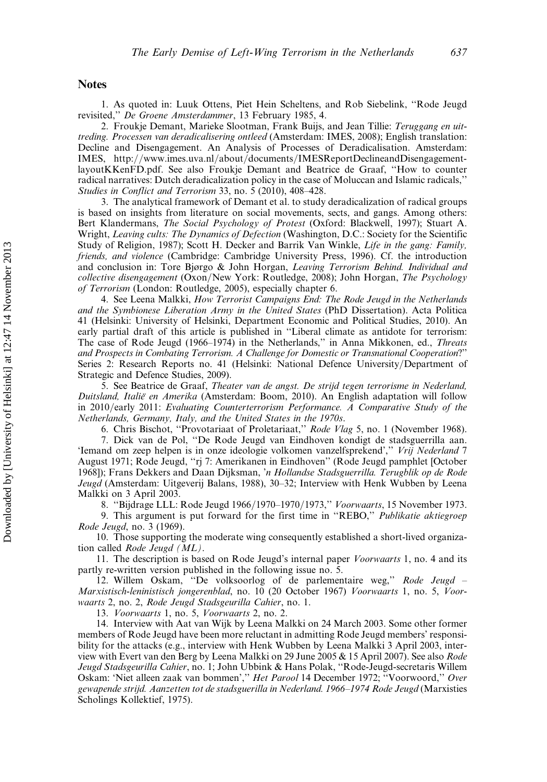#### **Notes**

1. As quoted in: Luuk Ottens, Piet Hein Scheltens, and Rob Siebelink, ''Rode Jeugd revisited,'' De Groene Amsterdammer, 13 February 1985, 4.

2. Froukje Demant, Marieke Slootman, Frank Buijs, and Jean Tillie: Teruggang en uittreding. Processen van deradicalisering ontleed (Amsterdam: IMES, 2008); English translation: Decline and Disengagement. An Analysis of Processes of Deradicalisation. Amsterdam: IMES, http://www.imes.uva.nl/about/documents/IMESReportDeclineandDisengagementlayoutKKenFD.pdf. See also Froukje Demant and Beatrice de Graaf, ''How to counter radical narratives: Dutch deradicalization policy in the case of Moluccan and Islamic radicals,'' Studies in Conflict and Terrorism 33, no. 5 (2010), 408–428.

3. The analytical framework of Demant et al. to study deradicalization of radical groups is based on insights from literature on social movements, sects, and gangs. Among others: Bert Klandermans, The Social Psychology of Protest (Oxford: Blackwell, 1997); Stuart A. Wright, Leaving cults: The Dynamics of Defection (Washington, D.C.: Society for the Scientific Study of Religion, 1987); Scott H. Decker and Barrik Van Winkle, Life in the gang: Family, friends, and violence (Cambridge: Cambridge University Press, 1996). Cf. the introduction and conclusion in: Tore Bjørgo & John Horgan, Leaving Terrorism Behind. Individual and collective disengagement (Oxon/New York: Routledge, 2008); John Horgan, The Psychology of Terrorism (London: Routledge, 2005), especially chapter 6.

4. See Leena Malkki, How Terrorist Campaigns End: The Rode Jeugd in the Netherlands and the Symbionese Liberation Army in the United States (PhD Dissertation). Acta Politica 41 (Helsinki: University of Helsinki, Department Economic and Political Studies, 2010). An early partial draft of this article is published in ''Liberal climate as antidote for terrorism: The case of Rode Jeugd (1966-1974) in the Netherlands," in Anna Mikkonen, ed., Threats and Prospects in Combating Terrorism. A Challenge for Domestic or Transnational Cooperation?'' Series 2: Research Reports no. 41 (Helsinki: National Defence University/Department of Strategic and Defence Studies, 2009).

5. See Beatrice de Graaf, Theater van de angst. De strijd tegen terrorisme in Nederland, Duitsland, Italië en Amerika (Amsterdam: Boom, 2010). An English adaptation will follow in 2010/early 2011: Evaluating Counterterrorism Performance. A Comparative Study of the Netherlands, Germany, Italy, and the United States in the 1970s.

6. Chris Bischot, ''Provotariaat of Proletariaat,'' Rode Vlag 5, no. 1 (November 1968).

7. Dick van de Pol, ''De Rode Jeugd van Eindhoven kondigt de stadsguerrilla aan. 'Iemand om zeep helpen is in onze ideologie volkomen vanzelfsprekend','' Vrij Nederland 7 August 1971; Rode Jeugd, ''rj 7: Amerikanen in Eindhoven'' (Rode Jeugd pamphlet [October 1968]); Frans Dekkers and Daan Dijksman, 'n Hollandse Stadsguerrilla. Terugblik op de Rode Jeugd (Amsterdam: Uitgeverij Balans, 1988), 30–32; Interview with Henk Wubben by Leena Malkki on 3 April 2003.

8. "Bijdrage LLL: Rode Jeugd 1966/1970–1970/1973," Voorwaarts, 15 November 1973.

9. This argument is put forward for the first time in "REBO," Publikatie aktiegroep Rode Jeugd, no. 3 (1969).

10. Those supporting the moderate wing consequently established a short-lived organization called Rode Jeugd (ML).

11. The description is based on Rode Jeugd's internal paper Voorwaarts 1, no. 4 and its partly re-written version published in the following issue no. 5.

12. Willem Oskam, "De volksoorlog of de parlementaire weg," Rode Jeugd -Marxistisch-leninistisch jongerenblad, no. 10 (20 October 1967) Voorwaarts 1, no. 5, Voorwaarts 2, no. 2, Rode Jeugd Stadsgeurilla Cahier, no. 1.

13. Voorwaarts 1, no. 5, Voorwaarts 2, no. 2.

14. Interview with Aat van Wijk by Leena Malkki on 24 March 2003. Some other former members of Rode Jeugd have been more reluctant in admitting Rode Jeugd members' responsibility for the attacks (e.g., interview with Henk Wubben by Leena Malkki 3 April 2003, interview with Evert van den Berg by Leena Malkki on 29 June 2005 & 15 April 2007). See also Rode Jeugd Stadsgeurilla Cahier, no. 1; John Ubbink & Hans Polak, ''Rode-Jeugd-secretaris Willem Oskam: 'Niet alleen zaak van bommen','' Het Parool 14 December 1972; ''Voorwoord,'' Over gewapende strijd. Aanzetten tot de stadsguerilla in Nederland. 1966–1974 Rode Jeugd (Marxisties Scholings Kollektief, 1975).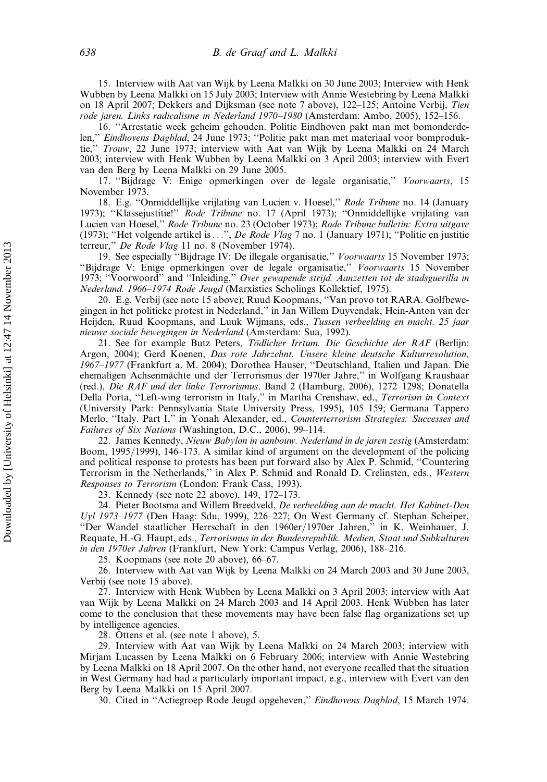15. Interview with Aat van Wijk by Leena Malkki on 30 June 2003; Interview with Henk Wubben by Leena Malkki on 15 July 2003; Interview with Annie Westebring by Leena Malkki on 18 April 2007; Dekkers and Dijksman (see note 7 above), 122–125; Antoine Verbij, Tien rode jaren. Links radicalisme in Nederland 1970–1980 (Amsterdam: Ambo, 2005), 152–156.

16. ''Arrestatie week geheim gehouden. Politie Eindhoven pakt man met bomonderdelen,'' Eindhovens Dagblad, 24 June 1973; ''Politie pakt man met materiaal voor bomproduktie,'' Trouw, 22 June 1973; interview with Aat van Wijk by Leena Malkki on 24 March 2003; interview with Henk Wubben by Leena Malkki on 3 April 2003; interview with Evert van den Berg by Leena Malkki on 29 June 2005.

17. ''Bijdrage V: Enige opmerkingen over de legale organisatie,'' Voorwaarts, 15 November 1973.

18. E.g. "Onmiddellijke vrijlating van Lucien v. Hoesel," Rode Tribune no. 14 (January 1973); "Klassejustitie!" Rode Tribune no. 17 (April 1973); "Onmiddellijke vrijlating van Lucien van Hoesel,'' Rode Tribune no. 23 (October 1973); Rode Tribune bulletin: Extra uitgave (1973); ''Het volgende artikel is...'', De Rode Vlag 7 no. 1 (January 1971); ''Politie en justitie terreur,'' De Rode Vlag 11 no. 8 (November 1974).

19. See especially "Bijdrage IV: De illegale organisatie," Voorwaarts 15 November 1973; ''Bijdrage V: Enige opmerkingen over de legale organisatie,'' Voorwaarts 15 November 1973; ''Voorwoord'' and ''Inleiding,'' Over gewapende strijd. Aanzetten tot de stadsguerilla in Nederland. 1966–1974 Rode Jeugd (Marxisties Scholings Kollektief, 1975).

20. E.g. Verbij (see note 15 above); Ruud Koopmans, ''Van provo tot RARA. Golfbewegingen in het politieke protest in Nederland,'' in Jan Willem Duyvendak, Hein-Anton van der Heijden, Ruud Koopmans, and Luuk Wijmans, eds., Tussen verbeelding en macht. 25 jaar nieuwe sociale bewegingen in Nederland (Amsterdam: Sua, 1992).

21. See for example Butz Peters, Tödlicher Irrtum. Die Geschichte der RAF (Berlijn: Argon, 2004); Gerd Koenen, Das rote Jahrzehnt. Unsere kleine deutsche Kulturrevolution, 1967–1977 (Frankfurt a. M. 2004); Dorothea Hauser, ''Deutschland, Italien und Japan. Die ehemaligen Achsenma¨chte und der Terrorismus der 1970er Jahre,'' in Wolfgang Kraushaar (red.), Die RAF und der linke Terrorismus. Band 2 (Hamburg, 2006), 1272–1298; Donatella Della Porta, "Left-wing terrorism in Italy," in Martha Crenshaw, ed., Terrorism in Context (University Park: Pennsylvania State University Press, 1995), 105–159; Germana Tappero Merlo, "Italy. Part I," in Yonah Alexander, ed., Counterterrorism Strategies: Successes and Failures of Six Nations (Washington, D.C., 2006), 99–114.

22. James Kennedy, Nieuw Babylon in aanbouw. Nederland in de jaren zestig (Amsterdam: Boom, 1995/1999), 146–173. A similar kind of argument on the development of the policing and political response to protests has been put forward also by Alex P. Schmid, ''Countering Terrorism in the Netherlands,'' in Alex P. Schmid and Ronald D. Crelinsten, eds., Western Responses to Terrorism (London: Frank Cass, 1993).

23. Kennedy (see note 22 above), 149, 172–173.

24. Pieter Bootsma and Willem Breedveld, De verbeelding aan de macht. Het Kabinet-Den Uyl 1973–1977 (Den Haag: Sdu, 1999), 226–227; On West Germany cf. Stephan Scheiper, "Der Wandel staatlicher Herrschaft in den 1960er/1970er Jahren," in K. Weinhauer, J. Requate, H.-G. Haupt, eds., Terrorismus in der Bundesrepublik. Medien, Staat und Subkulturen in den 1970er Jahren (Frankfurt, New York: Campus Verlag, 2006), 188–216.

25. Koopmans (see note 20 above), 66–67.

26. Interview with Aat van Wijk by Leena Malkki on 24 March 2003 and 30 June 2003, Verbij (see note 15 above).

27. Interview with Henk Wubben by Leena Malkki on 3 April 2003; interview with Aat van Wijk by Leena Malkki on 24 March 2003 and 14 April 2003. Henk Wubben has later come to the conclusion that these movements may have been false flag organizations set up by intelligence agencies.

28. Ottens et al. (see note 1 above), 5.

29. Interview with Aat van Wijk by Leena Malkki on 24 March 2003; interview with Mirjam Lucassen by Leena Malkki on 6 February 2006; interview with Annie Westebring by Leena Malkki on 18 April 2007. On the other hand, not everyone recalled that the situation in West Germany had had a particularly important impact, e.g., interview with Evert van den Berg by Leena Malkki on 15 April 2007.

30. Cited in ''Actiegroep Rode Jeugd opgeheven,'' Eindhovens Dagblad, 15 March 1974.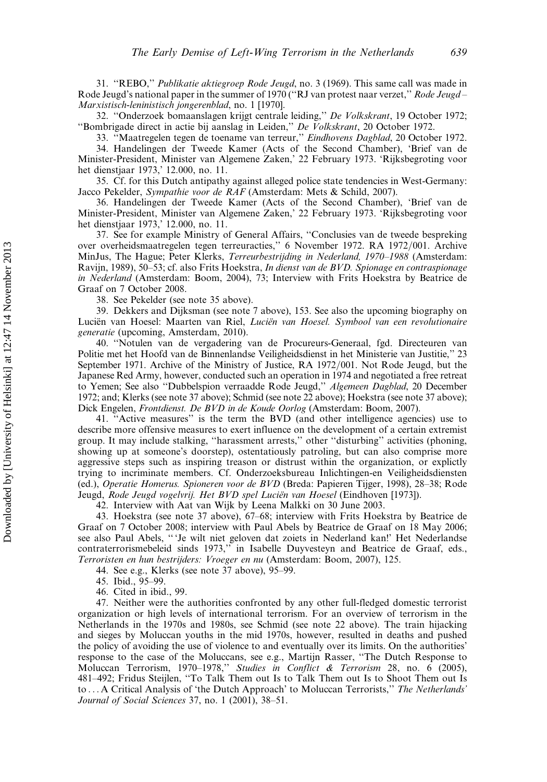31. ''REBO,'' Publikatie aktiegroep Rode Jeugd, no. 3 (1969). This same call was made in Rode Jeugd's national paper in the summer of 1970 (''RJ van protest naar verzet,'' Rode Jeugd – Marxistisch-leninistisch jongerenblad, no. 1 [1970].

32. ''Onderzoek bomaanslagen krijgt centrale leiding,'' De Volkskrant, 19 October 1972; ''Bombrigade direct in actie bij aanslag in Leiden,'' De Volkskrant, 20 October 1972.

33. "Maatregelen tegen de toename van terreur," Eindhovens Dagblad, 20 October 1972.

34. Handelingen der Tweede Kamer (Acts of the Second Chamber), 'Brief van de Minister-President, Minister van Algemene Zaken,' 22 February 1973. 'Rijksbegroting voor het dienstjaar 1973,' 12.000, no. 11.

35. Cf. for this Dutch antipathy against alleged police state tendencies in West-Germany: Jacco Pekelder, Sympathie voor de RAF (Amsterdam: Mets & Schild, 2007).

36. Handelingen der Tweede Kamer (Acts of the Second Chamber), 'Brief van de Minister-President, Minister van Algemene Zaken,' 22 February 1973. 'Rijksbegroting voor het dienstjaar 1973,' 12.000, no. 11.

37. See for example Ministry of General Affairs, ''Conclusies van de tweede bespreking over overheidsmaatregelen tegen terreuracties," 6 November 1972. RA 1972/001. Archive MinJus, The Hague; Peter Klerks, Terreurbestrijding in Nederland, 1970–1988 (Amsterdam: Ravijn, 1989), 50–53; cf. also Frits Hoekstra, In dienst van de BVD. Spionage en contraspionage in Nederland (Amsterdam: Boom, 2004), 73; Interview with Frits Hoekstra by Beatrice de Graaf on 7 October 2008.

38. See Pekelder (see note 35 above).

39. Dekkers and Dijksman (see note 7 above), 153. See also the upcoming biography on Luciën van Hoesel: Maarten van Riel, Luciën van Hoesel. Symbool van een revolutionaire generatie (upcoming, Amsterdam, 2010).

40. ''Notulen van de vergadering van de Procureurs-Generaal, fgd. Directeuren van Politie met het Hoofd van de Binnenlandse Veiligheidsdienst in het Ministerie van Justitie,'' 23 September 1971. Archive of the Ministry of Justice, RA 1972/001. Not Rode Jeugd, but the Japanese Red Army, however, conducted such an operation in 1974 and negotiated a free retreat to Yemen; See also "Dubbelspion verraadde Rode Jeugd," Algemeen Dagblad, 20 December 1972; and; Klerks (see note 37 above); Schmid (see note 22 above); Hoekstra (see note 37 above); Dick Engelen, Frontdienst. De BVD in de Koude Oorlog (Amsterdam: Boom, 2007).

41. ''Active measures'' is the term the BVD (and other intelligence agencies) use to describe more offensive measures to exert influence on the development of a certain extremist group. It may include stalking, ''harassment arrests,'' other ''disturbing'' activities (phoning, showing up at someone's doorstep), ostentatiously patroling, but can also comprise more aggressive steps such as inspiring treason or distrust within the organization, or explictly trying to incriminate members. Cf. Onderzoeksbureau Inlichtingen-en Veiligheidsdiensten (ed.), Operatie Homerus. Spioneren voor de BVD (Breda: Papieren Tijger, 1998), 28–38; Rode Jeugd, Rode Jeugd vogelvrij. Het BVD spel Luciën van Hoesel (Eindhoven [1973]).

42. Interview with Aat van Wijk by Leena Malkki on 30 June 2003.

43. Hoekstra (see note 37 above), 67–68; interview with Frits Hoekstra by Beatrice de Graaf on 7 October 2008; interview with Paul Abels by Beatrice de Graaf on 18 May 2006; see also Paul Abels, '' 'Je wilt niet geloven dat zoiets in Nederland kan!' Het Nederlandse contraterrorismebeleid sinds 1973,'' in Isabelle Duyvesteyn and Beatrice de Graaf, eds., Terroristen en hun bestrijders: Vroeger en nu (Amsterdam: Boom, 2007), 125.

44. See e.g., Klerks (see note 37 above), 95–99.

45. Ibid., 95–99.

46. Cited in ibid., 99.

47. Neither were the authorities confronted by any other full-fledged domestic terrorist organization or high levels of international terrorism. For an overview of terrorism in the Netherlands in the 1970s and 1980s, see Schmid (see note 22 above). The train hijacking and sieges by Moluccan youths in the mid 1970s, however, resulted in deaths and pushed the policy of avoiding the use of violence to and eventually over its limits. On the authorities' response to the case of the Moluccans, see e.g., Martijn Rasser, ''The Dutch Response to Moluccan Terrorism, 1970–1978,'' Studies in Conflict & Terrorism 28, no. 6 (2005), 481–492; Fridus Steijlen, ''To Talk Them out Is to Talk Them out Is to Shoot Them out Is to ... A Critical Analysis of 'the Dutch Approach' to Moluccan Terrorists," The Netherlands' Journal of Social Sciences 37, no. 1 (2001), 38–51.